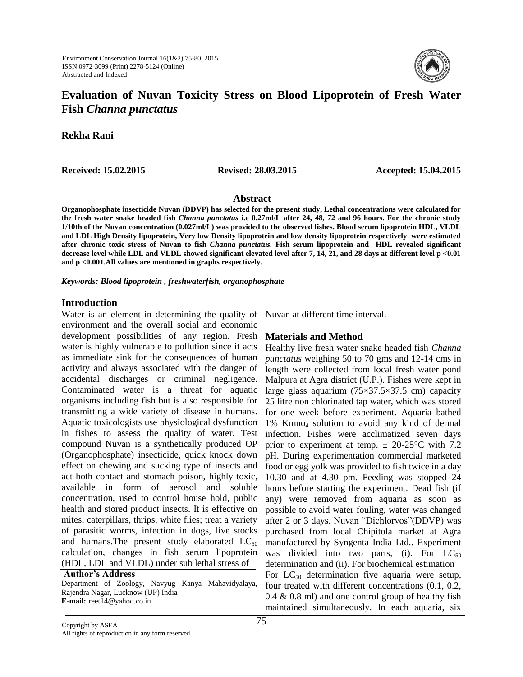

# **Evaluation of Nuvan Toxicity Stress on Blood Lipoprotein of Fresh Water Fish** *Channa punctatus*

**Rekha Rani** 

**Received: 15.02.2015 Revised: 28.03.2015 Accepted: 15.04.2015**

#### **Abstract**

**Organophosphate insecticide Nuvan (DDVP) has selected for the present study, Lethal concentrations were calculated for the fresh water snake headed fish** *Channa punctatus* **i.e 0.27ml/L after 24, 48, 72 and 96 hours. For the chronic study 1/10th of the Nuvan concentration (0.027ml/L) was provided to the observed fishes. Blood serum lipoprotein HDL, VLDL and LDL High Density lipoprotein, Very low Density lipoprotein and low density lipoprotein respectively were estimated after chronic toxic stress of Nuvan to fish** *Channa punctatus.* **Fish serum lipoprotein and HDL revealed significant decrease level while LDL and VLDL showed significant elevated level after 7, 14, 21, and 28 days at different level p <0.01 and p <0.001.All values are mentioned in graphs respectively.**

*Keywords: Blood lipoprotein , freshwaterfish, organophosphate*

#### **Introduction**

Water is an element in determining the quality of Nuvan at different time interval. environment and the overall social and economic development possibilities of any region. Fresh water is highly vulnerable to pollution since it acts as immediate sink for the consequences of human activity and always associated with the danger of accidental discharges or criminal negligence. Contaminated water is a threat for aquatic organisms including fish but is also responsible for transmitting a wide variety of disease in humans. Aquatic toxicologists use physiological dysfunction in fishes to assess the quality of water. Test compound Nuvan is a synthetically produced OP (Organophosphate) insecticide, quick knock down effect on chewing and sucking type of insects and act both contact and stomach poison, highly toxic, available in form of aerosol and soluble concentration, used to control house hold, public health and stored product insects. It is effective on mites, caterpillars, thrips, white flies; treat a variety of parasitic worms, infection in dogs, live stocks and humans. The present study elaborated  $LC_{50}$ calculation, changes in fish serum lipoprotein (HDL, LDL and VLDL) under sub lethal stress of

**Author's Address** 

Department of Zoology, Navyug Kanya Mahavidyalaya, Rajendra Nagar, Lucknow (UP) India **E-mail:** reet14@yahoo.co.in

### **Materials and Method**

Healthy live fresh water snake headed fish *Channa punctatus* weighing 50 to 70 gms and 12-14 cms in length were collected from local fresh water pond Malpura at Agra district (U.P.). Fishes were kept in large glass aquarium  $(75\times37.5\times37.5$  cm) capacity 25 litre non chlorinated tap water, which was stored for one week before experiment. Aquaria bathed 1% Kmno<sup>4</sup> solution to avoid any kind of dermal infection. Fishes were acclimatized seven days prior to experiment at temp.  $\pm$  20-25°C with 7.2 pH. During experimentation commercial marketed food or egg yolk was provided to fish twice in a day 10.30 and at 4.30 pm. Feeding was stopped 24 hours before starting the experiment. Dead fish (if any) were removed from aquaria as soon as possible to avoid water fouling, water was changed after 2 or 3 days. Nuvan "Dichlorvos"(DDVP) was purchased from local Chipitola market at Agra manufactured by Syngenta India Ltd.. Experiment was divided into two parts, (i). For  $LC_{50}$ determination and (ii). For biochemical estimation For  $LC_{50}$  determination five aquaria were setup, four treated with different concentrations (0.1, 0.2, 0.4 & 0.8 ml) and one control group of healthy fish maintained simultaneously. In each aquaria, six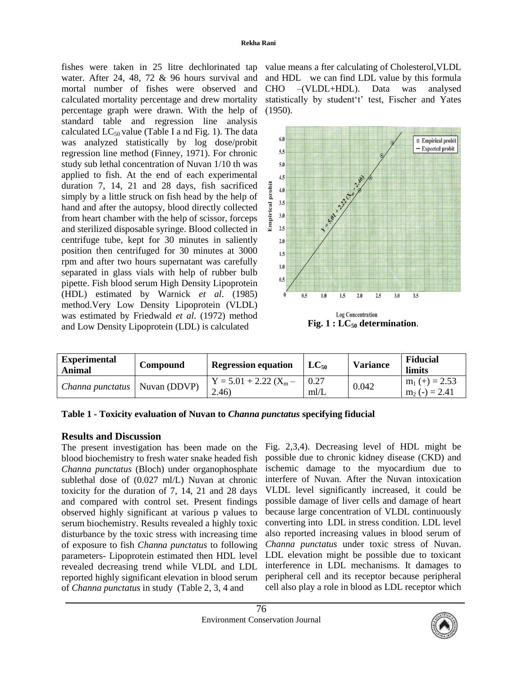fishes were taken in 25 litre dechlorinated tap water. After 24, 48, 72 & 96 hours survival and mortal number of fishes were observed and calculated mortality percentage and drew mortality percentage graph were drawn. With the help of standard table and regression line analysis calculated  $LC_{50}$  value (Table I a nd Fig. 1). The data was analyzed statistically by log dose/probit regression line method (Finney, 1971). For chronic study sub lethal concentration of Nuvan 1/10 th was applied to fish. At the end of each experimental duration 7, 14, 21 and 28 days, fish sacrificed simply by a little struck on fish head by the help of hand and after the autopsy, blood directly collected from heart chamber with the help of scissor, forceps and sterilized disposable syringe. Blood collected in centrifuge tube, kept for 30 minutes in saliently position then centrifuged for 30 minutes at 3000 rpm and after two hours supernatant was carefully separated in glass vials with help of rubber bulb pipette. Fish blood serum High Density Lipoprotein (HDL) estimated by Warnick *et al*. (1985) method.Very Low Density Lipoprotein (VLDL) was estimated by Friedwald *et al*. (1972) method and Low Density Lipoprotein (LDL) is calculated

value means a fter calculating of Cholesterol,VLDL and HDL we can find LDL value by this formula CHO –(VLDL+HDL). Data was analysed statistically by student't' test, Fischer and Yates (1950).



**Fig. 1 : LC<sup>50</sup> determination**.

| <b>Experimental</b><br>Animal          | <b>Compound</b> | <b>Regression equation</b>                   | $LC_{50}$ | <b>Variance</b> | <b>Fiducial</b><br>limits           |
|----------------------------------------|-----------------|----------------------------------------------|-----------|-----------------|-------------------------------------|
| <i>Channa punctatus</i>   Nuvan (DDVP) |                 | $Y = 5.01 + 2.22$ (X <sub>m</sub> –<br>2.46) | m/L       | 0.042           | $m_1 (+) = 2.53$<br>$m_2(-) = 2.41$ |

#### **Results and Discussion**

The present investigation has been made on the blood biochemistry to fresh water snake headed fish *Channa punctatus* (Bloch) under organophosphate sublethal dose of (0.027 ml/L) Nuvan at chronic toxicity for the duration of 7, 14, 21 and 28 days and compared with control set. Present findings observed highly significant at various p values to serum biochemistry. Results revealed a highly toxic disturbance by the toxic stress with increasing time of exposure to fish *Channa punctatus* to following parameters- Lipoprotein estimated then HDL level revealed decreasing trend while VLDL and LDL reported highly significant elevation in blood serum of *Channa punctatus* in study (Table 2, 3, 4 and

Fig. 2,3,4). Decreasing level of HDL might be possible due to chronic kidney disease (CKD) and ischemic damage to the myocardium due to interfere of Nuvan. After the Nuvan intoxication VLDL level significantly increased, it could be possible damage of liver cells and damage of heart because large concentration of VLDL continuously converting into LDL in stress condition. LDL level also reported increasing values in blood serum of *Channa punctatus* under toxic stress of Nuvan. LDL elevation might be possible due to toxicant interference in LDL mechanisms. It damages to peripheral cell and its receptor because peripheral cell also play a role in blood as LDL receptor which

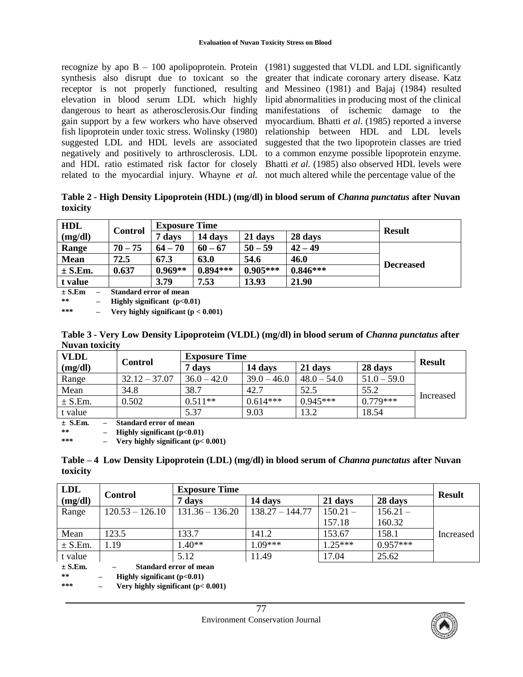synthesis also disrupt due to toxicant so the receptor is not properly functioned, resulting elevation in blood serum LDL which highly dangerous to heart as atherosclerosis.Our finding gain support by a few workers who have observed fish lipoprotein under toxic stress. Wolinsky (1980) suggested LDL and HDL levels are associated negatively and positively to arthrosclerosis. LDL and HDL ratio estimated risk factor for closely related to the myocardial injury. Whayne *et al.* not much altered while the percentage value of the

recognize by apo B – 100 apolipoprotein. Protein (1981) suggested that VLDL and LDL significantly greater that indicate coronary artery disease. Katz and Messineo (1981) and Bajaj (1984) resulted lipid abnormalities in producing most of the clinical manifestations of ischemic damage to the myocardium. Bhatti *et al*. (1985) reported a inverse relationship between HDL and LDL levels suggested that the two lipoprotein classes are tried to a common enzyme possible lipoprotein enzyme. Bhatti *et al.* (1985) also observed HDL levels were

**Table 2 - High Density Lipoprotein (HDL) (mg/dl) in blood serum of** *Channa punctatus* **after Nuvan toxicity**

| <b>HDL</b>  |                               | <b>Exposure Time</b> |            |            |            |                  |
|-------------|-------------------------------|----------------------|------------|------------|------------|------------------|
| (mg/dl)     | <b>Control</b>                | davs                 | 14 days    | 21 days    | 28 days    | <b>Result</b>    |
| Range       | $70 - 75$                     | $64 - 70$            | $60 - 67$  | $50 - 59$  | $42 - 49$  |                  |
| <b>Mean</b> | 72.5                          | 67.3                 | 63.0       | 54.6       | 46.0       |                  |
| $\pm$ S.Em. | 0.637                         | $0.969**$            | $0.894***$ | $0.905***$ | $0.846***$ | <b>Decreased</b> |
| t value     |                               | 3.79                 | 7.53       | 13.93      | 21.90      |                  |
| $\pm$ S.Em  | <b>Standard error of mean</b> |                      |            |            |            |                  |

**\*\* – Highly significant (p<0.01)**

**\*\*\* – Very highly significant (p < 0.001)**

**Table 3 - Very Low Density Lipoproteim (VLDL) (mg/dl) in blood serum of** *Channa punctatus* **after Nuvan toxicity**

| <b>VLDL</b> |                 | <b>Exposure Time</b> |               |               |               |               |  |
|-------------|-----------------|----------------------|---------------|---------------|---------------|---------------|--|
| (mg/dl)     | <b>Control</b>  | 7 davs               | 14 days       | 21 days       | 28 days       | <b>Result</b> |  |
| Range       | $32.12 - 37.07$ | $36.0 - 42.0$        | $39.0 - 46.0$ | $48.0 - 54.0$ | $51.0 - 59.0$ |               |  |
| Mean        | 34.8            | 38.7                 | 42.7          | 52.5          | 55.2          |               |  |
| $\pm$ S.Em. | 0.502           | $0.511**$            | $0.614***$    | $0.945***$    | $0.779***$    | Increased     |  |
| t value     |                 | 5.37                 | 9.03          | 13.2          | 18.54         |               |  |

**± S.Em. – Standard error of mean**

**\*\* – Highly significant (p<0.01)**

**\*\*\* – Very highly significant (p< 0.001)**

| Table – 4 Low Density Lipoprotein (LDL) (mg/dl) in blood serum of <i>Channa punctatus</i> after Nuvan |  |
|-------------------------------------------------------------------------------------------------------|--|
| toxicity                                                                                              |  |

| <b>LDL</b>                                   |                   | <b>Exposure Time</b> |                   |            |            |               |
|----------------------------------------------|-------------------|----------------------|-------------------|------------|------------|---------------|
| (mg/dl)                                      | <b>Control</b>    | 7 days               | 14 days           | 21 days    | 28 days    | <b>Result</b> |
| Range                                        | $120.53 - 126.10$ | $131.36 - 136.20$    | $138.27 - 144.77$ | $150.21 -$ | $156.21 -$ |               |
|                                              |                   |                      |                   | 157.18     | 160.32     |               |
| Mean                                         | 123.5             | 133.7                | 141.2             | 153.67     | 158.1      | Increased     |
| $\pm$ S.Em.                                  | .19               | $1.40**$             | $109***$          | $25***$    | $0.957***$ |               |
| t value                                      |                   | 5.12                 | 11.49             | 17.04      | 25.62      |               |
| $\pm$ S.Em.<br><b>Standard error of mean</b> |                   |                      |                   |            |            |               |
| **<br>Highly significant $(p<0.01)$          |                   |                      |                   |            |            |               |

**\*\*\* – Very highly significant (p< 0.001)**

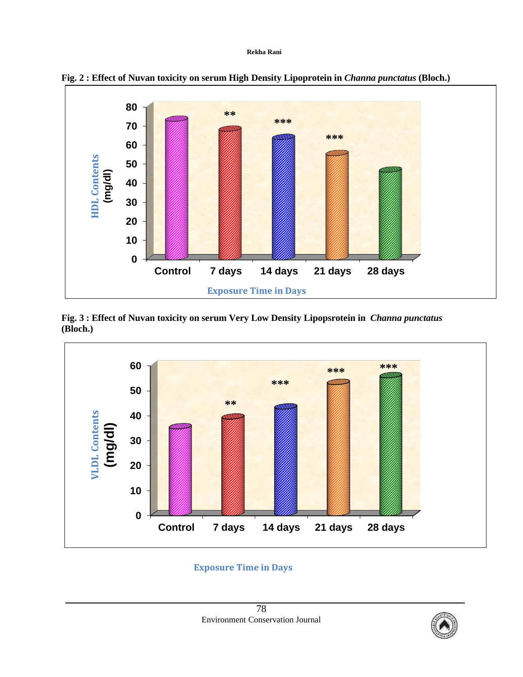#### **Rekha Rani**



**Fig. 2 : Effect of Nuvan toxicity on serum High Density Lipoprotein in** *Channa punctatus* **(Bloch.)**





## **Exposure Time in Days**

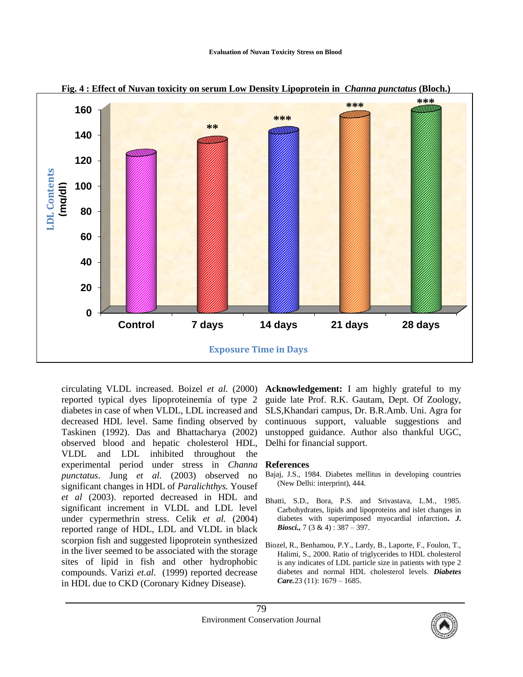

**Fig. 4 : Effect of Nuvan toxicity on serum Low Density Lipoprotein in** *Channa punctatus* **(Bloch.)**

circulating VLDL increased. Boizel *et al.* (2000) reported typical dyes lipoproteinemia of type 2 diabetes in case of when VLDL, LDL increased and decreased HDL level. Same finding observed by Taskinen (1992). Das and Bhattacharya (2002) observed blood and hepatic cholesterol HDL, VLDL and LDL inhibited throughout the experimental period under stress in *Channa punctatus*. Jung *et al.* (2003) observed no significant changes in HDL of *Paralichthys.* Yousef *et al* (2003). reported decreased in HDL and significant increment in VLDL and LDL level under cypermethrin stress. Celik *et al.* (2004) reported range of HDL, LDL and VLDL in black scorpion fish and suggested lipoprotein synthesized in the liver seemed to be associated with the storage sites of lipid in fish and other hydrophobic compounds. Varizi *et.al*. (1999) reported decrease in HDL due to CKD (Coronary Kidney Disease).

**Acknowledgement:** I am highly grateful to my guide late Prof. R.K. Gautam, Dept. Of Zoology, SLS,Khandari campus, Dr. B.R.Amb. Uni. Agra for continuous support, valuable suggestions and unstopped guidance. Author also thankful UGC, Delhi for financial support.

#### **References**

- Bajaj, J.S., 1984. Diabetes mellitus in developing countries (New Delhi: interprint), 444.
- Bhatti, S.D., Bora, P.S. and Srivastava, L.M., 1985. Carbohydrates, lipids and lipoproteins and islet changes in diabetes with superimposed myocardial infarction**.** *J. Biosci.,* 7 (3 & 4) : 387 – 397.
- Biozel, R., Benhamou, P.Y., Lardy, B., Laporte, F., Foulon, T., Halimi, S., 2000. Ratio of triglycerides to HDL cholesterol is any indicates of LDL particle size in patients with type 2 diabetes and normal HDL cholesterol levels. *Diabetes Care.*23 (11): 1679 – 1685.